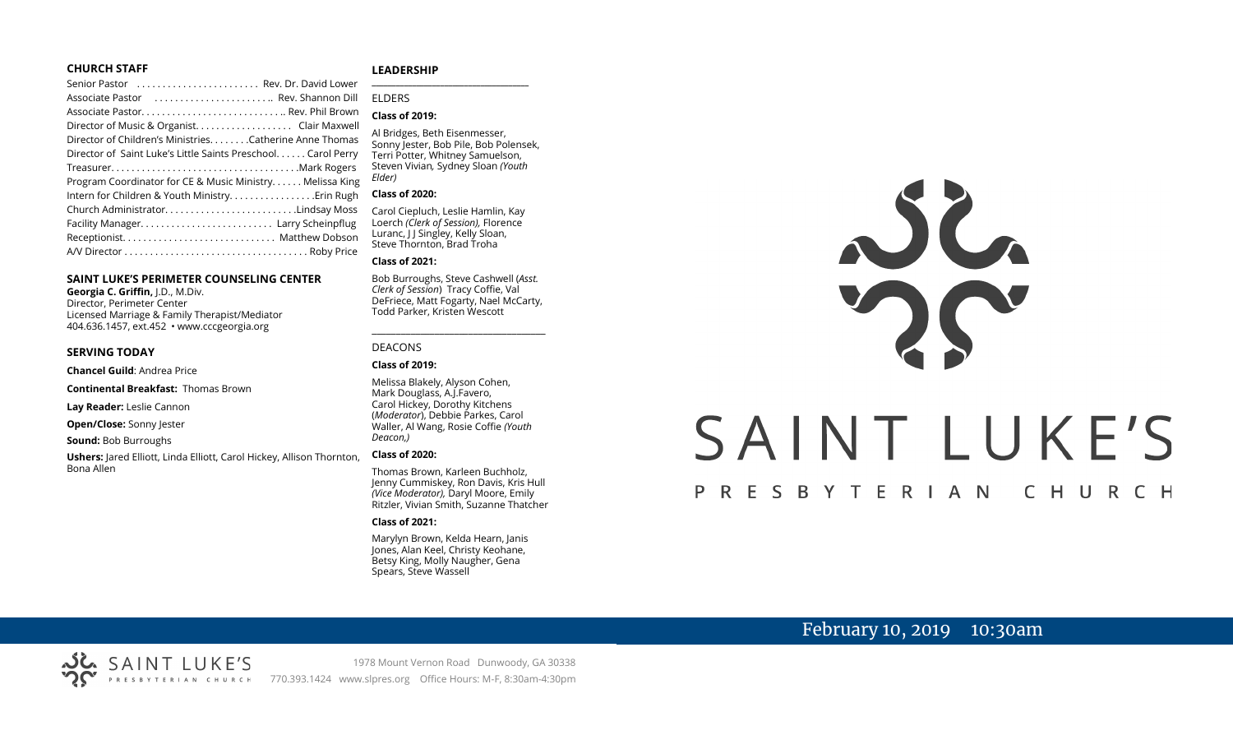#### **CHURCH STAFF**

| Senior Pastor  Rev. Dr. David Lower                          |
|--------------------------------------------------------------|
| Associate Pastor  Rev. Shannon Dill                          |
|                                                              |
| Director of Music & Organist. Clair Maxwell                  |
| Director of Children's Ministries. Catherine Anne Thomas     |
| Director of Saint Luke's Little Saints Preschool Carol Perry |
|                                                              |
| Program Coordinator for CE & Music Ministry Melissa King     |
|                                                              |
| Church AdministratorLindsay Moss                             |
|                                                              |
|                                                              |
|                                                              |
|                                                              |

#### **SAINT LUKE'S PERIMETER COUNSELING CENTER**

**Georgia C. Griffin,** J.D., M.Div. Director, Perimeter Center Licensed Marriage & Family Therapist/Mediator 404.636.1457, ext.452 • www.cccgeorgia.org

#### **SERVING TODAY**

**Chancel Guild**: Andrea Price

**Continental Breakfast:** Thomas Brown

**Lay Reader:** Leslie Cannon

**Open/Close:** Sonny Jester

**Sound:** Bob Burroughs

**Ushers:** Jared Elliott, Linda Elliott, Carol Hickey, Allison Thornton, Bona Allen

#### **LEADERSHIP**

ELDERS

#### **Class of 2019:**

Al Bridges, Beth Eisenmesser, Sonny Jester, Bob Pile, Bob Polensek, Terri Potter, Whitney Samuelson, Steven Vivian*,* Sydney Sloan *(Youth Elder)*

**\_\_\_\_\_\_\_\_\_\_\_\_\_\_\_\_\_\_\_\_\_\_\_\_\_\_\_\_\_\_\_\_\_\_\_\_\_\_\_**

#### **Class of 2020:**

Carol Ciepluch, Leslie Hamlin, Kay Loerch *(Clerk of Session),* Florence Luranc, I J Singley, Kelly Sloan, Steve Thornton, Brad Troha

#### **Class of 2021:**

Bob Burroughs, Steve Cashwell (*Asst. Clerk of Session*) Tracy Coffie, Val DeFriece, Matt Fogarty, Nael McCarty, Todd Parker, Kristen Wescott

\_\_\_\_\_\_\_\_\_\_\_\_\_\_\_\_\_\_\_\_\_\_\_\_\_\_\_\_\_\_\_\_\_\_\_\_

#### DEACONS

#### **Class of 2019:**

Melissa Blakely, Alyson Cohen, Mark Douglass, A.J.Favero, Carol Hickey, Dorothy Kitchens (*Moderator*), Debbie Parkes, Carol Waller, Al Wang, Rosie Coffie *(Youth Deacon,)* 

#### **Class of 2020:**

Thomas Brown, Karleen Buchholz, Jenny Cummiskey, Ron Davis, Kris Hull *(Vice Moderator),* Daryl Moore, Emily Ritzler, Vivian Smith, Suzanne Thatcher

#### **Class of 2021:**

Marylyn Brown, Kelda Hearn, Janis Jones, Alan Keel, Christy Keohane, Betsy King, Molly Naugher, Gena Spears, Steve Wassell



# SAINT LUKE'S

#### P R E S B Y T E R I A N CHURCH

## February 10, 2019 10:30am

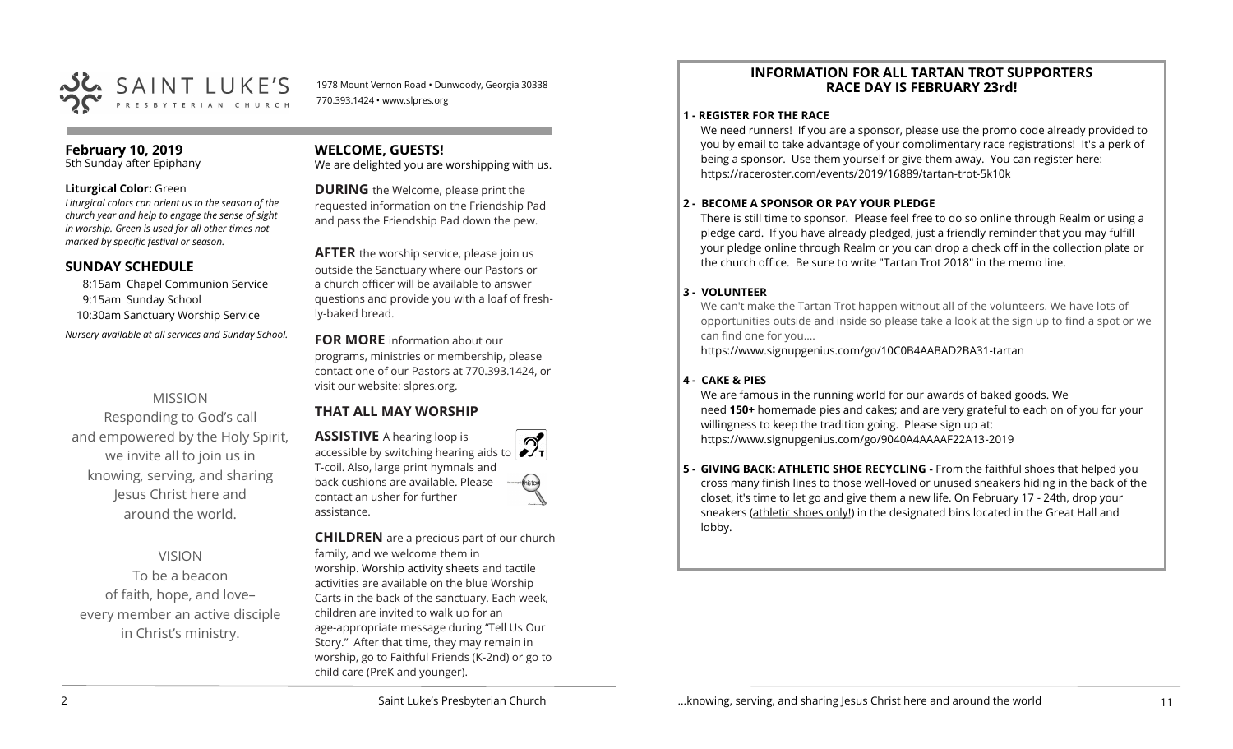

1978 Mount Vernon Road • Dunwoody, Georgia 30338 770.393.1424 • www.slpres.org

## **February 10, 2019**

5th Sunday after Epiphany

#### **Liturgical Color:** Green

*Liturgical colors can orient us to the season of the church year and help to engage the sense of sight in worship. Green is used for all other times not marked by specific festival or season.*

## **SUNDAY SCHEDULE**

8:15am Chapel Communion Service 9:15am Sunday School 10:30am Sanctuary Worship Service *Nursery available at all services and Sunday School.* 

## MISSION

Responding to God's call and empowered by the Holy Spirit, we invite all to join us in knowing, serving, and sharing Jesus Christ here and around the world.

## VISION

To be a beacon of faith, hope, and love– every member an active disciple in Christ's ministry.

## **WELCOME, GUESTS!**

We are delighted you are worshipping with us.

**DURING** the Welcome, please print the requested information on the Friendship Pad and pass the Friendship Pad down the pew.

**AFTER** the worship service, please join us outside the Sanctuary where our Pastors or a church officer will be available to answer questions and provide you with a loaf of freshly-baked bread.

**FOR MORE** information about our programs, ministries or membership, please contact one of our Pastors at 770.393.1424, or visit our website: slpres.org.

## **THAT ALL MAY WORSHIP**

**ASSISTIVE** A hearing loop is accessible by switching hearing aids to T-coil. Also, large print hymnals and back cushions are available. Please contact an usher for further assistance.

**CHILDREN** are a precious part of our church family, and we welcome them in worship. Worship activity sheets and tactile activities are available on the blue Worship Carts in the back of the sanctuary. Each week, children are invited to walk up for an age-appropriate message during "Tell Us Our Story." After that time, they may remain in worship, go to Faithful Friends (K-2nd) or go to child care (PreK and younger).

## **INFORMATION FOR ALL TARTAN TROT SUPPORTERS RACE DAY IS FEBRUARY 23rd!**

## **1 - REGISTER FOR THE RACE**

We need runners! If you are a sponsor, please use the promo code already provided to you by email to take advantage of your complimentary race registrations! It's a perk of being a sponsor. Use them yourself or give them away. You can register here: [https://raceroster.com/events/2019/16889/tartan](https://raceroster.com/events/2019/16889/tartan-trot-5k10k)-trot-5k10k

## **2 - BECOME A SPONSOR OR PAY YOUR PLEDGE**

There is still time to sponsor. Please feel free to do so online through Realm or using a pledge card. If you have already pledged, just a friendly reminder that you may fulfill your pledge online through Realm or you can drop a check off in the collection plate or the church office. Be sure to write "Tartan Trot 2018" in the memo line.

## **3 - VOLUNTEER**

We can't make the Tartan Trot happen without all of the volunteers. We have lots of opportunities outside and inside so please take a look at the sign up to find a spot or we can find one for you....

[https://www.signupgenius.com/go/10C0B4AABAD2BA31](https://www.signupgenius.com/go/10C0B4AABAD2BA31-tartan)-tartan

## **4 - CAKE & PIES**

We are famous in the running world for our awards of baked goods. We need **150+** homemade pies and cakes; and are very grateful to each on of you for your willingness to keep the tradition going. Please sign up at: [https://www.signupgenius.com/go/9040A4AAAAF22A13](https://www.signupgenius.com/go/9040A4AAAAF22A13-2019)-2019

**5 - GIVING BACK: ATHLETIC SHOE RECYCLING -** From the faithful shoes that helped you cross many finish lines to those well-loved or unused sneakers hiding in the back of the closet, it's time to let go and give them a new life. On February 17 - 24th, drop your sneakers (athletic shoes only!) in the designated bins located in the Great Hall and lobby.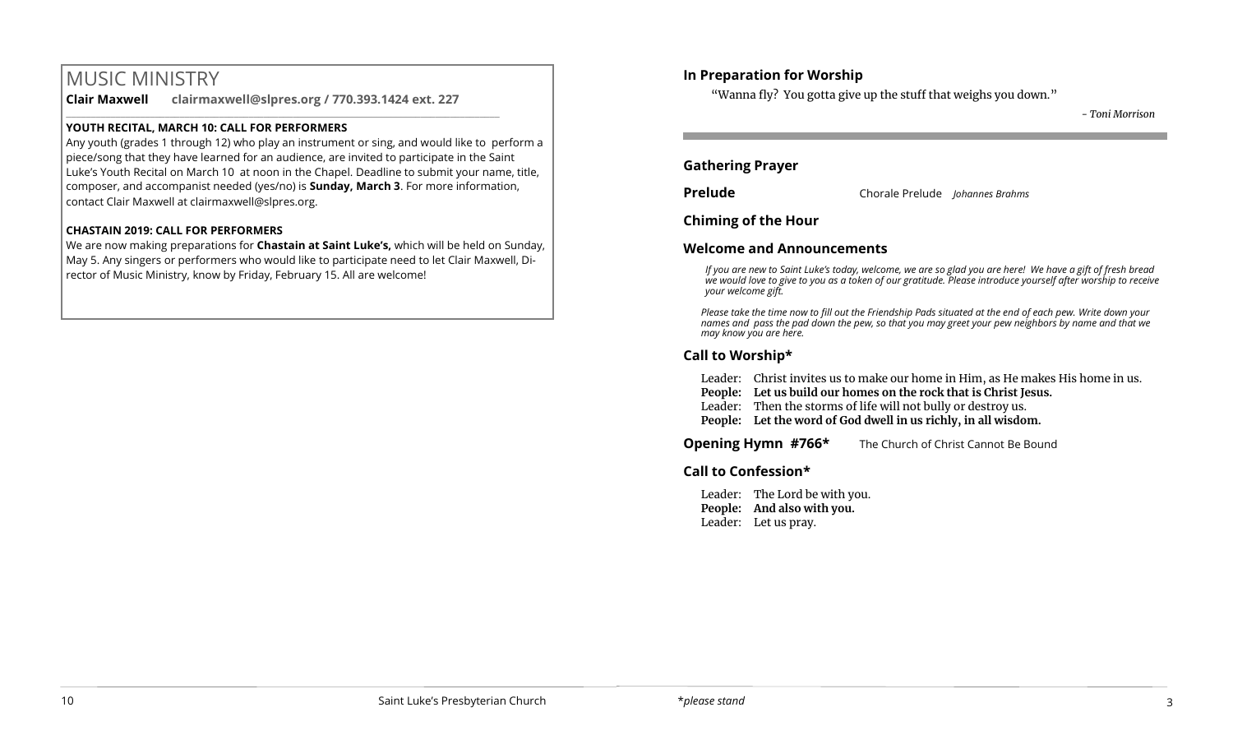## MUSIC MINISTRY

**Clair Maxwell clairmaxwell@slpres.org / 770.393.1424 ext. 227** 

\_\_\_\_\_\_\_\_\_\_\_\_\_\_\_\_\_\_\_\_\_\_\_\_\_\_\_\_\_\_\_\_\_\_\_\_\_\_\_\_\_\_\_\_\_\_\_\_\_\_\_\_\_\_\_\_\_\_\_\_\_\_\_\_\_\_\_\_\_\_\_\_\_\_\_\_\_\_\_\_\_\_\_\_\_\_\_\_

## **YOUTH RECITAL, MARCH 10: CALL FOR PERFORMERS**

Any youth (grades 1 through 12) who play an instrument or sing, and would like to perform a piece/song that they have learned for an audience, are invited to participate in the Saint Luke's Youth Recital on March 10 at noon in the Chapel. Deadline to submit your name, title, composer, and accompanist needed (yes/no) is **Sunday, March 3**. For more information, contact Clair Maxwell at clairmaxwell@slpres.org.

## **CHASTAIN 2019: CALL FOR PERFORMERS**

We are now making preparations for **Chastain at Saint Luke's,** which will be held on Sunday, May 5. Any singers or performers who would like to participate need to let Clair Maxwell, Director of Music Ministry, know by Friday, February 15. All are welcome!

## **In Preparation for Worship**

"Wanna fly? You gotta give up the stuff that weighs you down."

*- Toni Morrison*

## **Gathering Prayer**

**Prelude** Chorale Prelude *Johannes Brahms*

**Chiming of the Hour**

## **Welcome and Announcements**

*If you are new to Saint Luke's today, welcome, we are so glad you are here! We have a gift of fresh bread we would love to give to you as a token of our gratitude. Please introduce yourself after worship to receive your welcome gift.*

*Please take the time now to fill out the Friendship Pads situated at the end of each pew. Write down your names and pass the pad down the pew, so that you may greet your pew neighbors by name and that we may know you are here.*

## **Call to Worship\***

Leader: Christ invites us to make our home in Him, as He makes His home in us.

- **People: Let us build our homes on the rock that is Christ Jesus.**
- Leader: Then the storms of life will not bully or destroy us.
- **People: Let the word of God dwell in us richly, in all wisdom.**

**Opening Hymn #766\*** The Church of Christ Cannot Be Bound

## **Call to Confession\***

Leader: The Lord be with you. **People: And also with you.**  Leader: Let us pray.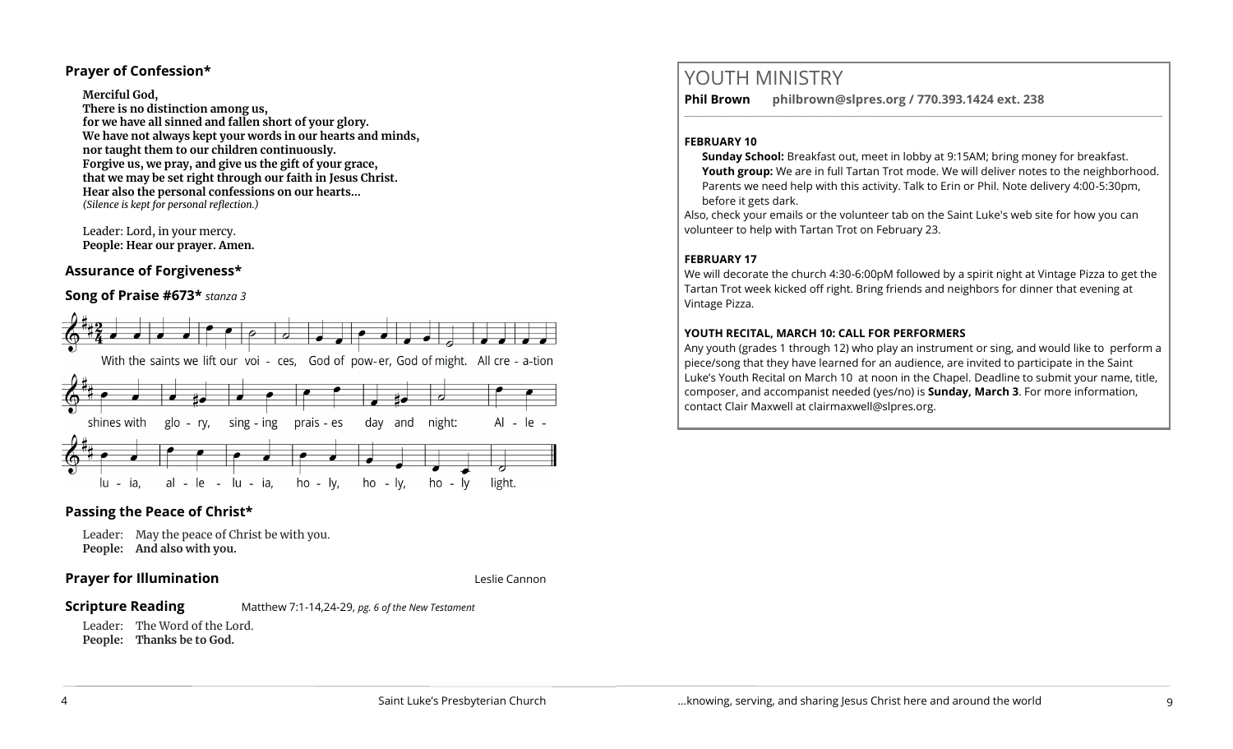## **Prayer of Confession\***

**Merciful God,** 

**There is no distinction among us, for we have all sinned and fallen short of your glory. We have not always kept your words in our hearts and minds, nor taught them to our children continuously. Forgive us, we pray, and give us the gift of your grace, that we may be set right through our faith in Jesus Christ. Hear also the personal confessions on our hearts…** *(Silence is kept for personal reflection.)*

Leader: Lord, in your mercy. **People: Hear our prayer. Amen.**

## **Assurance of Forgiveness\***

## **Song of Praise #673\*** *stanza 3*



## **Passing the Peace of Christ\***

Leader: May the peace of Christ be with you. **People: And also with you.** 

## **Prayer for Illumination Leslie Cannon** Leslie Cannon

**Scripture Reading** Matthew 7:1-14,24-29, *pg. 6 of the New Testament* 

Leader: The Word of the Lord. **People: Thanks be to God.** 

## YOUTH MINISTRY

**Phil Brown philbrown@slpres.org / 770.393.1424 ext. 238** 

#### **FEBRUARY 10**

**Sunday School:** Breakfast out, meet in lobby at 9:15AM; bring money for breakfast. Youth group: We are in full Tartan Trot mode. We will deliver notes to the neighborhood. Parents we need help with this activity. Talk to Erin or Phil. Note delivery 4:00-5:30pm, before it gets dark.

 $\_$  ,  $\_$  ,  $\_$  ,  $\_$  ,  $\_$  ,  $\_$  ,  $\_$  ,  $\_$  ,  $\_$  ,  $\_$  ,  $\_$  ,  $\_$  ,  $\_$  ,  $\_$  ,  $\_$  ,  $\_$  ,  $\_$  ,  $\_$  ,  $\_$  ,  $\_$ 

Also, check your emails or the volunteer tab on the Saint Luke's web site for how you can volunteer to help with Tartan Trot on February 23.

## **FEBRUARY 17**

We will decorate the church 4:30-6:00pM followed by a spirit night at Vintage Pizza to get the Tartan Trot week kicked off right. Bring friends and neighbors for dinner that evening at Vintage Pizza.

## **YOUTH RECITAL, MARCH 10: CALL FOR PERFORMERS**

Any youth (grades 1 through 12) who play an instrument or sing, and would like to perform a piece/song that they have learned for an audience, are invited to participate in the Saint Luke's Youth Recital on March 10 at noon in the Chapel. Deadline to submit your name, title, composer, and accompanist needed (yes/no) is **Sunday, March 3**. For more information, contact Clair Maxwell at clairmaxwell@slpres.org.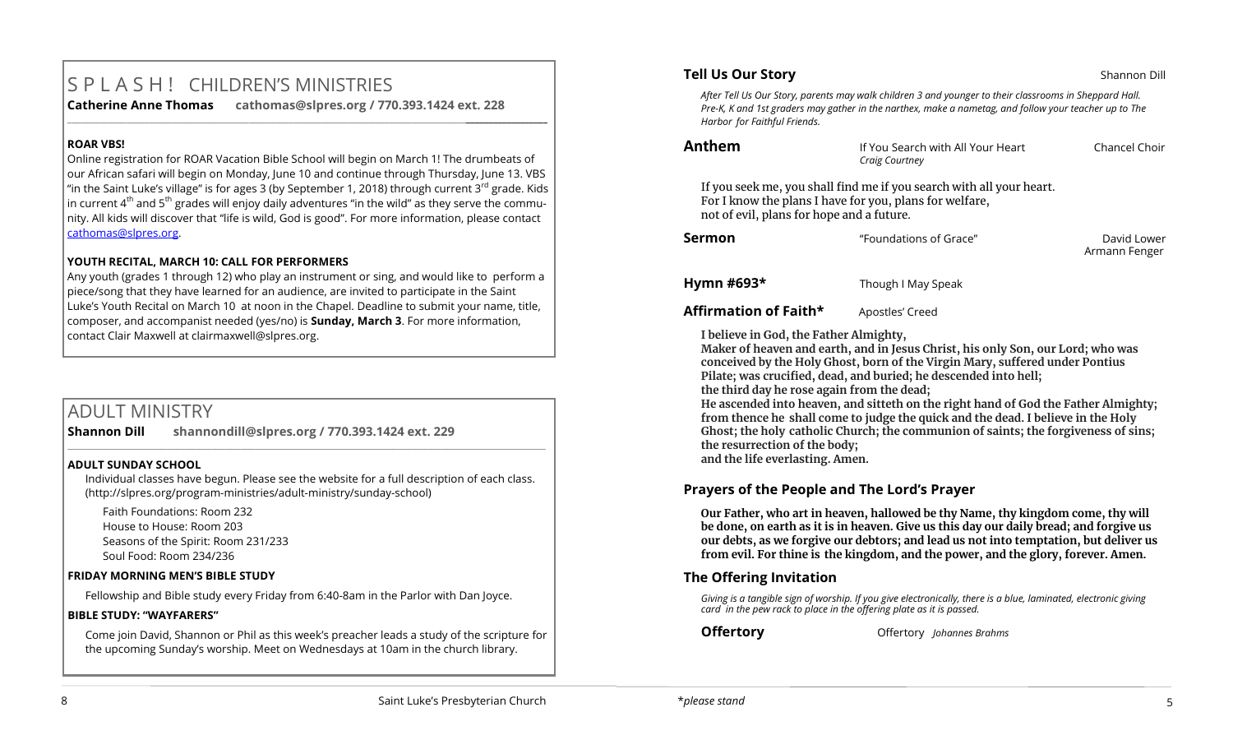# S P L A S H ! CHILDREN'S MINISTRIES

**\_\_\_\_\_\_\_\_\_\_\_\_\_\_\_\_\_\_\_\_\_\_\_\_\_\_\_\_\_\_\_\_\_\_\_\_\_\_\_\_\_\_\_\_\_\_\_\_\_\_\_\_\_\_\_\_\_\_\_\_\_\_\_\_\_\_\_\_\_\_\_\_\_\_\_\_\_\_\_\_\_\_\_\_\_\_\_\_\_\_\_\_\_\_\_\_\_\_\_\_\_\_\_\_\_\_** 

**Catherine Anne Thomas cathomas@slpres.org / 770.393.1424 ext. 228** 

## **ROAR VBS!**

Online registration for ROAR Vacation Bible School will begin on March 1! The drumbeats of our African safari will begin on Monday, June 10 and continue through Thursday, June 13. VBS "in the Saint Luke's village" is for ages 3 (by September 1, 2018) through current 3<sup>rd</sup> grade. Kids in current  $4<sup>th</sup>$  and 5<sup>th</sup> grades will enjoy daily adventures "in the wild" as they serve the community. All kids will discover that "life is wild, God is good". For more information, please contact [cathomas@slpres.org.](mailto:cathomas@slpres.org)

## **YOUTH RECITAL, MARCH 10: CALL FOR PERFORMERS**

Any youth (grades 1 through 12) who play an instrument or sing, and would like to perform a piece/song that they have learned for an audience, are invited to participate in the Saint Luke's Youth Recital on March 10 at noon in the Chapel. Deadline to submit your name, title, composer, and accompanist needed (yes/no) is **Sunday, March 3**. For more information, contact Clair Maxwell at clairmaxwell@slpres.org.

## ADULT MINISTRY

**Shannon Dill shannondill@slpres.org / 770.393.1424 ext. 229** 

## **ADULT SUNDAY SCHOOL**

Individual classes have begun. Please see the website for a full description of each class. (http://slpres.org/program-ministries/adult-ministry/sunday-school)

 $\_$  ,  $\_$  ,  $\_$  ,  $\_$  ,  $\_$  ,  $\_$  ,  $\_$  ,  $\_$  ,  $\_$  ,  $\_$  ,  $\_$  ,  $\_$  ,  $\_$  ,  $\_$  ,  $\_$  ,  $\_$  ,  $\_$  ,  $\_$  ,  $\_$  ,  $\_$ 

Faith Foundations: Room 232 House to House: Room 203 Seasons of the Spirit: Room 231/233 Soul Food: Room 234/236

## **FRIDAY MORNING MEN'S BIBLE STUDY**

Fellowship and Bible study every Friday from 6:40-8am in the Parlor with Dan Joyce.

## **BIBLE STUDY: "WAYFARERS"**

Come join David, Shannon or Phil as this week's preacher leads a study of the scripture for the upcoming Sunday's worship. Meet on Wednesdays at 10am in the church library.

## **Tell Us Our Story Shannon Dill Shannon Dill**

*After Tell Us Our Story, parents may walk children 3 and younger to their classrooms in Sheppard Hall. Pre-K, K and 1st graders may gather in the narthex, make a nametag, and follow your teacher up to The Harbor for Faithful Friends.*

| nthem |  |
|-------|--|
|-------|--|

**Anthem** If You Search with All Your Heart Chancel Choir *Craig Courtney*

If you seek me, you shall find me if you search with all your heart. For I know the plans I have for you, plans for welfare, not of evil, plans for hope and a future.

| Sermon | "Foundations of Grace" | David Lower<br>Armann Fenger |
|--------|------------------------|------------------------------|
|        |                        |                              |

**Hymn #693\*** Though I May Speak

Affirmation of Faith\* Apostles' Creed

**I believe in God, the Father Almighty,**

**Maker of heaven and earth, and in Jesus Christ, his only Son, our Lord; who was conceived by the Holy Ghost, born of the Virgin Mary, suffered under Pontius Pilate; was crucified, dead, and buried; he descended into hell;** 

**the third day he rose again from the dead;**

**He ascended into heaven, and sitteth on the right hand of God the Father Almighty; from thence he shall come to judge the quick and the dead. I believe in the Holy Ghost; the holy catholic Church; the communion of saints; the forgiveness of sins; the resurrection of the body; and the life everlasting. Amen.**

**Prayers of the People and The Lord's Prayer**

**Our Father, who art in heaven, hallowed be thy Name, thy kingdom come, thy will be done, on earth as it is in heaven. Give us this day our daily bread; and forgive us our debts, as we forgive our debtors; and lead us not into temptation, but deliver us from evil. For thine is the kingdom, and the power, and the glory, forever. Amen.**

## **The Offering Invitation**

*Giving is a tangible sign of worship. If you give electronically, there is a blue, laminated, electronic giving card in the pew rack to place in the offering plate as it is passed.*

**Offertory** Offertory *Johannes Brahms*